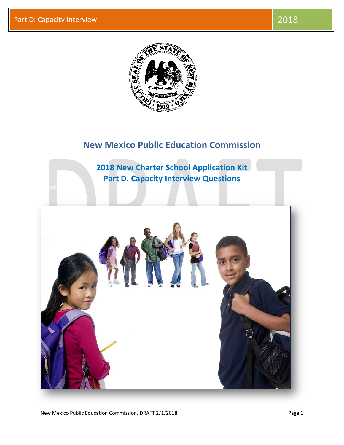**Effective** Options



## **New Mexico Public Education Commission**

**2018 New Charter School Application Kit Part D. Capacity Interview Questions**

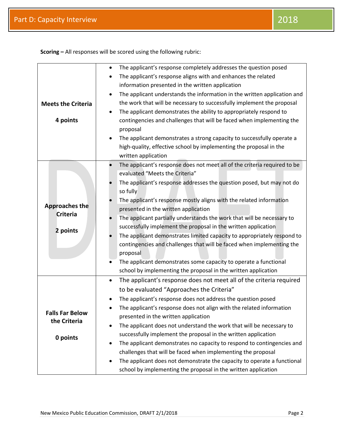**Scoring –** All responses will be scored using the following rubric:

|                                        | The applicant's response completely addresses the question posed<br>$\bullet$         |
|----------------------------------------|---------------------------------------------------------------------------------------|
|                                        | The applicant's response aligns with and enhances the related                         |
|                                        | information presented in the written application                                      |
|                                        | The applicant understands the information in the written application and<br>$\bullet$ |
| <b>Meets the Criteria</b>              | the work that will be necessary to successfully implement the proposal                |
|                                        | The applicant demonstrates the ability to appropriately respond to                    |
| 4 points                               | contingencies and challenges that will be faced when implementing the                 |
|                                        | proposal                                                                              |
|                                        | The applicant demonstrates a strong capacity to successfully operate a<br>$\bullet$   |
|                                        | high-quality, effective school by implementing the proposal in the                    |
|                                        | written application                                                                   |
|                                        | The applicant's response does not meet all of the criteria required to be             |
|                                        | evaluated "Meets the Criteria"                                                        |
|                                        | The applicant's response addresses the question posed, but may not do                 |
|                                        | so fully                                                                              |
|                                        | The applicant's response mostly aligns with the related information                   |
| <b>Approaches the</b>                  | presented in the written application                                                  |
| <b>Criteria</b>                        | The applicant partially understands the work that will be necessary to                |
| 2 points                               | successfully implement the proposal in the written application                        |
|                                        | The applicant demonstrates limited capacity to appropriately respond to               |
|                                        | contingencies and challenges that will be faced when implementing the                 |
|                                        | proposal                                                                              |
|                                        | The applicant demonstrates some capacity to operate a functional                      |
|                                        | school by implementing the proposal in the written application                        |
|                                        | The applicant's response does not meet all of the criteria required<br>$\bullet$      |
|                                        | to be evaluated "Approaches the Criteria"                                             |
|                                        | The applicant's response does not address the question posed                          |
|                                        | The applicant's response does not align with the related information                  |
| <b>Falls Far Below</b><br>the Criteria | presented in the written application                                                  |
|                                        | The applicant does not understand the work that will be necessary to                  |
| 0 points                               | successfully implement the proposal in the written application                        |
|                                        | The applicant demonstrates no capacity to respond to contingencies and                |
|                                        | challenges that will be faced when implementing the proposal                          |
|                                        | The applicant does not demonstrate the capacity to operate a functional               |
|                                        | school by implementing the proposal in the written application                        |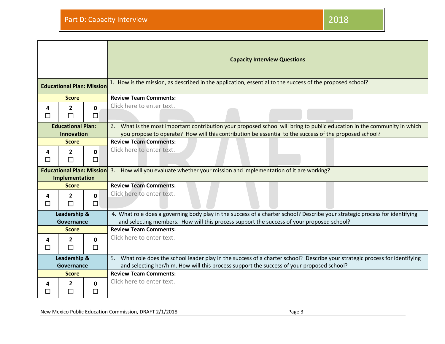|                            |                                                    |             | <b>Capacity Interview Questions</b>                                                                                                                                                                                       |
|----------------------------|----------------------------------------------------|-------------|---------------------------------------------------------------------------------------------------------------------------------------------------------------------------------------------------------------------------|
|                            | <b>Educational Plan: Mission</b>                   |             | 1. How is the mission, as described in the application, essential to the success of the proposed school?                                                                                                                  |
|                            | <b>Score</b>                                       |             | <b>Review Team Comments:</b>                                                                                                                                                                                              |
| 4<br>ப                     | $\mathbf{2}$                                       | 0<br>□      | Click here to enter text.                                                                                                                                                                                                 |
|                            | <b>Educational Plan:</b>                           |             | 2. What is the most important contribution your proposed school will bring to public education in the community in which                                                                                                  |
| <b>Innovation</b>          |                                                    |             | you propose to operate? How will this contribution be essential to the success of the proposed school?                                                                                                                    |
|                            | <b>Score</b>                                       |             | <b>Review Team Comments:</b>                                                                                                                                                                                              |
| 4<br>□                     | $\mathbf{2}$<br>П                                  | 0<br>□      | Click here to enter text.                                                                                                                                                                                                 |
|                            | <b>Educational Plan: Mission</b><br>Implementation |             | 3. How will you evaluate whether your mission and implementation of it are working?                                                                                                                                       |
| <b>Score</b>               |                                                    |             | <b>Review Team Comments:</b>                                                                                                                                                                                              |
| 4<br>П                     | $\mathbf{2}$<br>П                                  | 0<br>$\Box$ | Click here to enter text.                                                                                                                                                                                                 |
|                            | Leadership &<br>Governance                         |             | 4. What role does a governing body play in the success of a charter school? Describe your strategic process for identifying<br>and selecting members. How will this process support the success of your proposed school?  |
|                            | <b>Score</b>                                       |             | <b>Review Team Comments:</b>                                                                                                                                                                                              |
| 4<br>□                     | $\mathbf{2}$<br>$\Box$                             | 0<br>$\Box$ | Click here to enter text.                                                                                                                                                                                                 |
| Leadership &<br>Governance |                                                    |             | 5. What role does the school leader play in the success of a charter school? Describe your strategic process for identifying<br>and selecting her/him. How will this process support the success of your proposed school? |
| <b>Score</b>               |                                                    |             | <b>Review Team Comments:</b>                                                                                                                                                                                              |
| 4                          | 2<br>$\Box$                                        | 0<br>П      | Click here to enter text.                                                                                                                                                                                                 |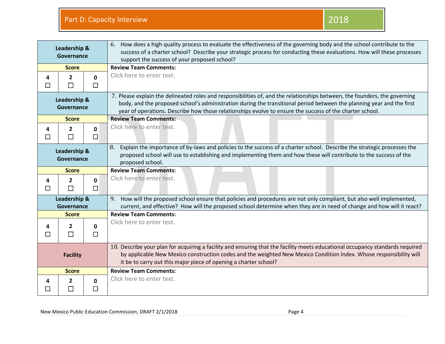| Leadership &<br>Governance |                     |                        | 6. How does a high quality process to evaluate the effectiveness of the governing body and the school contribute to the<br>success of a charter school? Describe your strategic process for conducting these evaluations. How will these processes<br>support the success of your proposed school?                                                              |
|----------------------------|---------------------|------------------------|-----------------------------------------------------------------------------------------------------------------------------------------------------------------------------------------------------------------------------------------------------------------------------------------------------------------------------------------------------------------|
| <b>Score</b>               |                     |                        | <b>Review Team Comments:</b>                                                                                                                                                                                                                                                                                                                                    |
| 4<br>$\Box$                | $\overline{2}$<br>П | $\mathbf{0}$<br>$\Box$ | Click here to enter text.                                                                                                                                                                                                                                                                                                                                       |
| Leadership &<br>Governance |                     |                        | 7. Please explain the delineated roles and responsibilities of, and the relationships between, the founders, the governing<br>body, and the proposed school's administration during the transitional period between the planning year and the first<br>year of operations. Describe how those relationships evolve to ensure the success of the charter school. |
| <b>Score</b>               |                     |                        | <b>Review Team Comments:</b>                                                                                                                                                                                                                                                                                                                                    |
| 4<br>$\Box$                | $\overline{2}$<br>П | $\mathbf{0}$<br>$\Box$ | Click here to enter text.                                                                                                                                                                                                                                                                                                                                       |
| Leadership &<br>Governance |                     |                        | Explain the importance of by-laws and policies to the success of a charter school. Describe the strategic processes the<br>8.<br>proposed school will use to establishing and implementing them and how these will contribute to the success of the<br>proposed school.                                                                                         |
| <b>Score</b>               |                     |                        | <b>Review Team Comments:</b>                                                                                                                                                                                                                                                                                                                                    |
| 4<br>□                     | $\overline{2}$<br>П | $\mathbf{0}$<br>$\Box$ | Click here to enter text.                                                                                                                                                                                                                                                                                                                                       |
| Leadership &               |                     |                        | 9. How will the proposed school ensure that policies and procedures are not only compliant, but also well implemented,                                                                                                                                                                                                                                          |
| Governance                 |                     |                        | current, and effective? How will the proposed school determine when they are in need of change and how will it react?                                                                                                                                                                                                                                           |
|                            | <b>Score</b>        |                        | <b>Review Team Comments:</b>                                                                                                                                                                                                                                                                                                                                    |
| 4<br>$\Box$                | 2<br>$\Box$         | $\mathbf{0}$<br>$\Box$ | Click here to enter text.                                                                                                                                                                                                                                                                                                                                       |
| <b>Facility</b>            |                     |                        | 10. Describe your plan for acquiring a facility and ensuring that the facility meets educational occupancy standards required<br>by applicable New Mexico construction codes and the weighted New Mexico Condition Index. Whose responsibility will<br>it be to carry out this major piece of opening a charter school?                                         |
|                            | <b>Score</b>        |                        | <b>Review Team Comments:</b>                                                                                                                                                                                                                                                                                                                                    |
| 4<br>$\perp$               | 2<br>$\Box$         | $\mathbf{0}$<br>$\Box$ | Click here to enter text.                                                                                                                                                                                                                                                                                                                                       |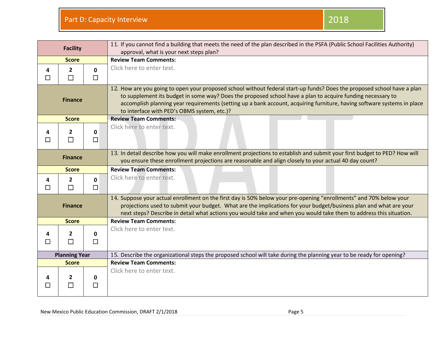|                      | <b>Facility</b>          |                        | 11. If you cannot find a building that meets the need of the plan described in the PSFA (Public School Facilities Authority)<br>approval, what is your next steps plan?                                                                                                                                                                                                                                         |
|----------------------|--------------------------|------------------------|-----------------------------------------------------------------------------------------------------------------------------------------------------------------------------------------------------------------------------------------------------------------------------------------------------------------------------------------------------------------------------------------------------------------|
|                      | <b>Score</b>             |                        | <b>Review Team Comments:</b>                                                                                                                                                                                                                                                                                                                                                                                    |
| 4<br>$\Box$          | $\overline{2}$<br>$\Box$ | $\mathbf{0}$<br>$\Box$ | Click here to enter text.                                                                                                                                                                                                                                                                                                                                                                                       |
| <b>Finance</b>       |                          |                        | 12. How are you going to open your proposed school without federal start-up funds? Does the proposed school have a plan<br>to supplement its budget in some way? Does the proposed school have a plan to acquire funding necessary to<br>accomplish planning year requirements (setting up a bank account, acquiring furniture, having software systems in place<br>to interface with PED's OBMS system, etc.)? |
|                      | <b>Score</b>             |                        | <b>Review Team Comments:</b>                                                                                                                                                                                                                                                                                                                                                                                    |
| 4<br>П               | $\mathbf{2}$<br>$\Box$   | 0<br>$\Box$            | Click here to enter text.                                                                                                                                                                                                                                                                                                                                                                                       |
|                      | <b>Finance</b>           |                        | 13. In detail describe how you will make enrollment projections to establish and submit your first budget to PED? How will<br>you ensure these enrollment projections are reasonable and align closely to your actual 40 day count?                                                                                                                                                                             |
|                      | <b>Score</b>             |                        | <b>Review Team Comments:</b>                                                                                                                                                                                                                                                                                                                                                                                    |
| 4<br>П               | $\overline{2}$<br>$\Box$ | $\mathbf{0}$<br>$\Box$ | Click here to enter text.                                                                                                                                                                                                                                                                                                                                                                                       |
| <b>Finance</b>       |                          |                        | 14. Suppose your actual enrollment on the first day is 50% below your pre-opening "enrollments" and 70% below your<br>projections used to submit your budget. What are the implications for your budget/business plan and what are your<br>next steps? Describe in detail what actions you would take and when you would take them to address this situation.                                                   |
|                      | <b>Score</b>             |                        | <b>Review Team Comments:</b>                                                                                                                                                                                                                                                                                                                                                                                    |
| 4<br>П               | $\mathbf{2}$<br>П        | $\mathbf{0}$<br>П      | Click here to enter text.                                                                                                                                                                                                                                                                                                                                                                                       |
| <b>Planning Year</b> |                          |                        | 15. Describe the organizational steps the proposed school will take during the planning year to be ready for opening?                                                                                                                                                                                                                                                                                           |
| <b>Score</b>         |                          |                        | <b>Review Team Comments:</b>                                                                                                                                                                                                                                                                                                                                                                                    |
| $\Box$               | $\overline{2}$<br>$\Box$ | 0<br>□                 | Click here to enter text.                                                                                                                                                                                                                                                                                                                                                                                       |